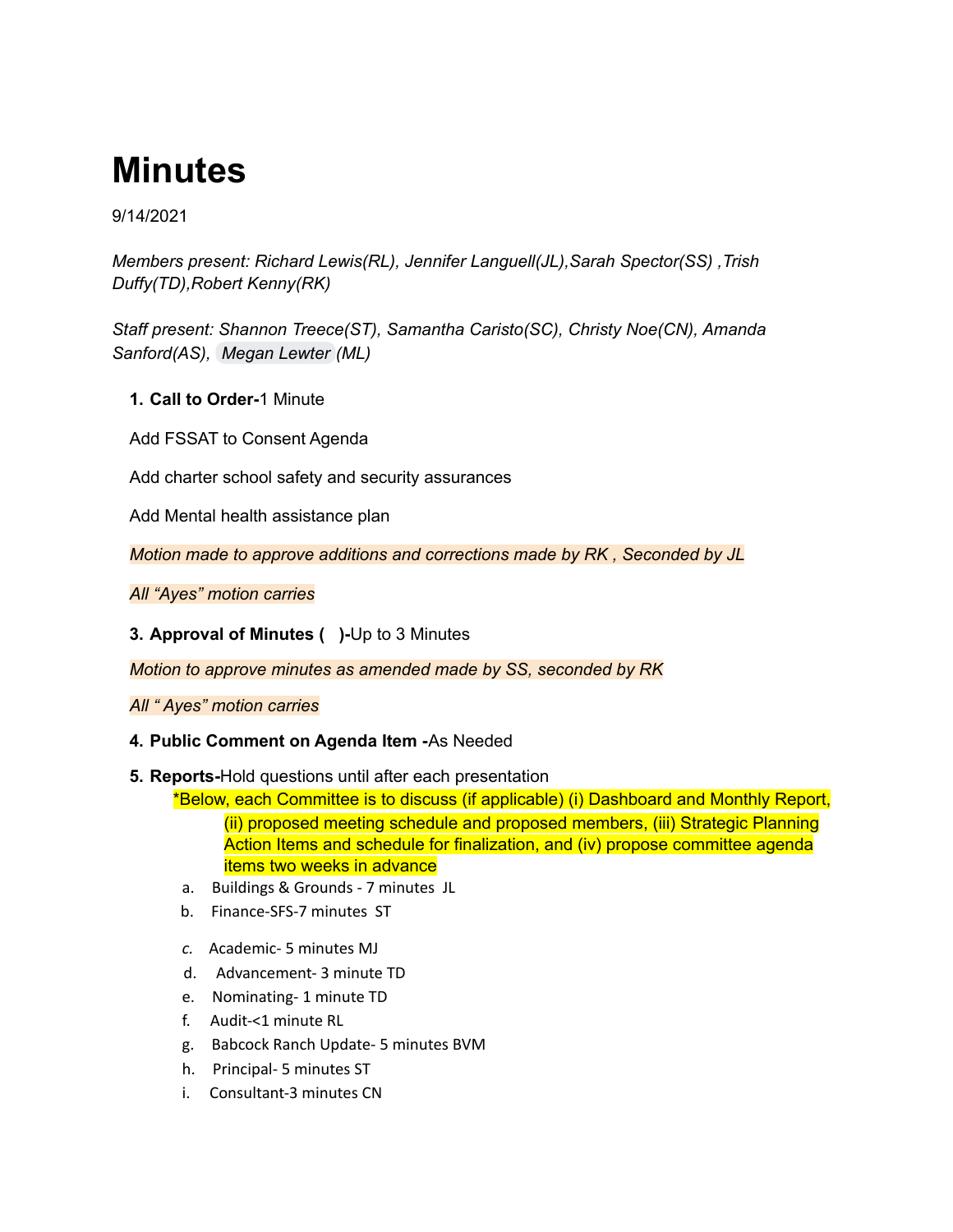# **Minutes**

### 9/14/2021

*Members present: Richard Lewis(RL), Jennifer Languell(JL),Sarah Spector(SS) ,Trish Duffy(TD),Robert Kenny(RK)*

*Staff present: Shannon Treece(ST), Samantha Caristo(SC), Christy Noe(CN), Amanda Sanford(AS), [Megan](mailto:mlewter@babcockneighborhoodschool.org) Lewter (ML)*

- **1. Call to Order-**1 Minute
- Add FSSAT to Consent Agenda

Add charter school safety and security assurances

Add Mental health assistance plan

*Motion made to approve additions and corrections made by RK , Seconded by JL*

*All "Ayes" motion carries*

#### **3. Approval of Minutes ( )-**Up to 3 Minutes

*Motion to approve minutes as amended made by SS, seconded by RK*

*All " Ayes" motion carries*

#### **4. Public Comment on Agenda Item -**As Needed

#### **5. Reports-**Hold questions until after each presentation

\*Below, each Committee is to discuss (if applicable) (i) Dashboard and Monthly Report, (ii) proposed meeting schedule and proposed members, (iii) Strategic Planning Action Items and schedule for finalization, and (iv) propose committee agenda items two weeks in advance

- a. Buildings & Grounds 7 minutes JL
- b. Finance-SFS-7 minutes ST
- *c.* Academic- 5 minutes MJ
- d. Advancement- 3 minute TD
- e. Nominating- 1 minute TD
- f. Audit-<1 minute RL
- g. Babcock Ranch Update- 5 minutes BVM
- h. Principal- 5 minutes ST
- i. Consultant-3 minutes CN